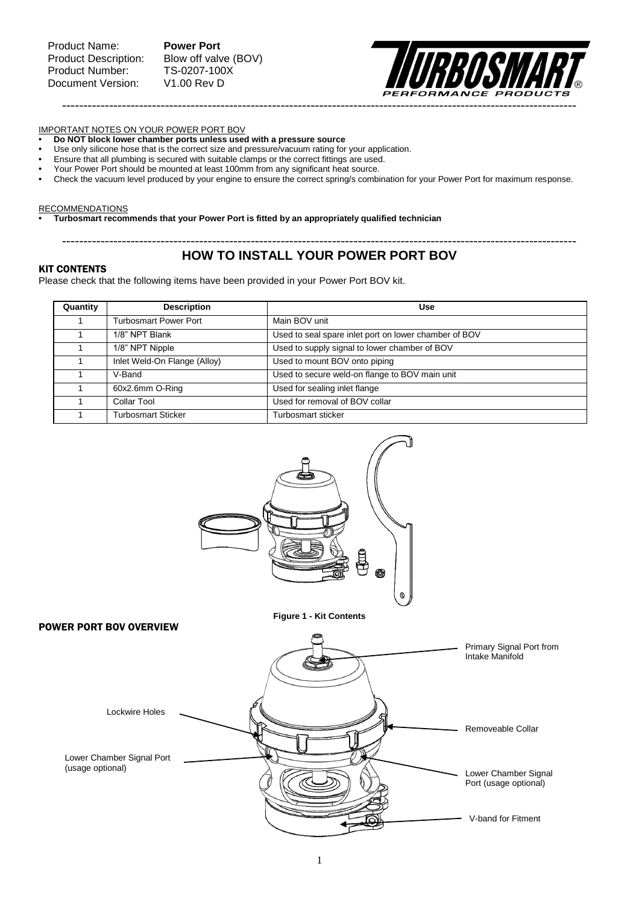Blow off valve (BOV)<br>TS-0207-100X



### IMPORTANT NOTES ON YOUR POWER PORT BOV

- **Do NOT block lower chamber ports unless used with a pressure source**
- **•** Use only silicone hose that is the correct size and pressure/vacuum rating for your application.
- **•** Ensure that all plumbing is secured with suitable clamps or the correct fittings are used.
- **•** Your Power Port should be mounted at least 100mm from any significant heat source.
- **•** Check the vacuum level produced by your engine to ensure the correct spring/s combination for your Power Port for maximum response.

### **RECOMMENDATIONS**

**• Turbosmart recommends that your Power Port is fitted by an appropriately qualified technician**

## ------------------------------------------------------------------------------------------------------------------------ **HOW TO INSTALL YOUR POWER PORT BOV**

### KIT CONTENTS

Please check that the following items have been provided in your Power Port BOV kit.

| Quantity | <b>Description</b>           | <b>Use</b>                                            |
|----------|------------------------------|-------------------------------------------------------|
|          | <b>Turbosmart Power Port</b> | Main BOV unit                                         |
|          | 1/8" NPT Blank               | Used to seal spare inlet port on lower chamber of BOV |
|          | 1/8" NPT Nipple              | Used to supply signal to lower chamber of BOV         |
|          | Inlet Weld-On Flange (Alloy) | Used to mount BOV onto piping                         |
|          | V-Band                       | Used to secure weld-on flange to BOV main unit        |
|          | 60x2.6mm O-Ring              | Used for sealing inlet flange                         |
|          | <b>Collar Tool</b>           | Used for removal of BOV collar                        |
|          | <b>Turbosmart Sticker</b>    | Turbosmart sticker                                    |

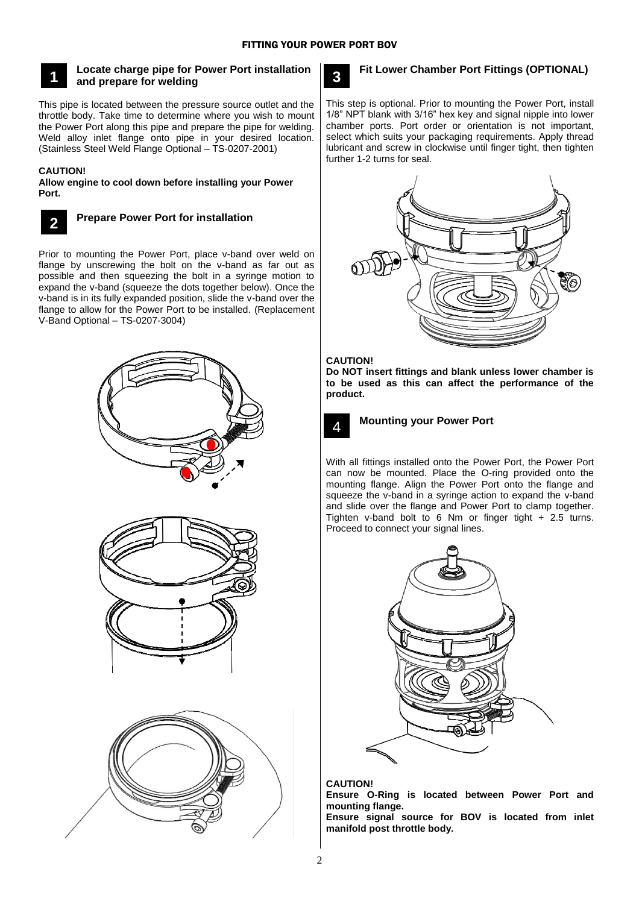

## **Locate charge pipe for Power Port installation and prepare for welding**

This pipe is located between the pressure source outlet and the throttle body. Take time to determine where you wish to mount the Power Port along this pipe and prepare the pipe for welding. Weld alloy inlet flange onto pipe in your desired location. (Stainless Steel Weld Flange Optional – TS-0207-2001)

### **CAUTION!**

**Allow engine to cool down before installing your Power Port.**



# **Prepare Power Port for installation**

Prior to mounting the Power Port, place v-band over weld on flange by unscrewing the bolt on the v-band as far out as possible and then squeezing the bolt in a syringe motion to expand the v-band (squeeze the dots together below). Once the v-band is in its fully expanded position, slide the v-band over the flange to allow for the Power Port to be installed. (Replacement V-Band Optional – TS-0207-3004)







# **3**

# **Fit Lower Chamber Port Fittings (OPTIONAL)**

This step is optional. Prior to mounting the Power Port, install 1/8" NPT blank with 3/16" hex key and signal nipple into lower chamber ports. Port order or orientation is not important, select which suits your packaging requirements. Apply thread lubricant and screw in clockwise until finger tight, then tighten further 1-2 turns for seal.



## **CAUTION!**

**Do NOT insert fittings and blank unless lower chamber is to be used as this can affect the performance of the product.**



### **Mounting your Power Port**

With all fittings installed onto the Power Port, the Power Port can now be mounted. Place the O-ring provided onto the mounting flange. Align the Power Port onto the flange and squeeze the v-band in a syringe action to expand the v-band and slide over the flange and Power Port to clamp together. Tighten v-band bolt to 6 Nm or finger tight + 2.5 turns. Proceed to connect your signal lines.



### **CAUTION!**

**Ensure O-Ring is located between Power Port and mounting flange.**

**Ensure signal source for BOV is located from inlet manifold post throttle body.**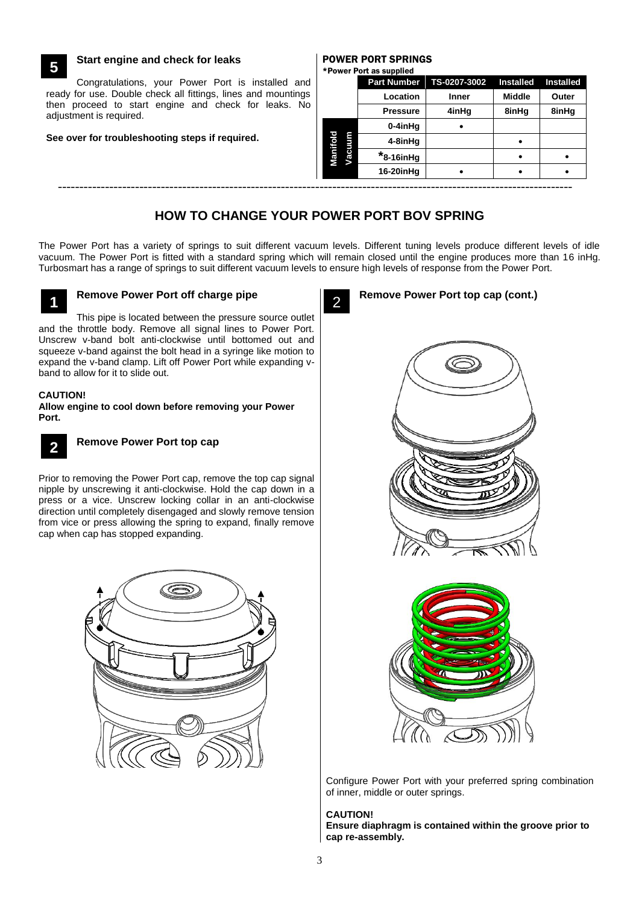## **Start engine and check for leaks**

Congratulations, your Power Port is installed and ready for use. Double check all fittings, lines and mountings then proceed to start engine and check for leaks. No adjustment is required.

### **See over for troubleshooting steps if required.**

#### POWER PORT SPRINGS \*Power Port as supplied

**Part Number TS-0207-3002 Installed Installed**

| ady for use. Double check all fittings, lines and mountings<br>n proceed to start engine and check for leaks. No<br>justment is required. |  | Location        | <b>Inner</b> | <b>Middle</b> | Outer |
|-------------------------------------------------------------------------------------------------------------------------------------------|--|-----------------|--------------|---------------|-------|
|                                                                                                                                           |  | <b>Pressure</b> | 4inHa        | 8inHq         | 8inHg |
|                                                                                                                                           |  | 0-4inHa         |              |               |       |
| e over for troubleshooting steps if required.                                                                                             |  | 4-8inHq         |              |               |       |
|                                                                                                                                           |  | $*_{8-16i nHg}$ |              |               |       |
|                                                                                                                                           |  | 16-20inHg       |              |               |       |
|                                                                                                                                           |  |                 |              |               |       |

# **HOW TO CHANGE YOUR POWER PORT BOV SPRING**

The Power Port has a variety of springs to suit different vacuum levels. Different tuning levels produce different levels of idle vacuum. The Power Port is fitted with a standard spring which will remain closed until the engine produces more than 16 inHg. Turbosmart has a range of springs to suit different vacuum levels to ensure high levels of response from the Power Port.



**5**

# **Remove Power Port off charge pipe**

This pipe is located between the pressure source outlet and the throttle body. Remove all signal lines to Power Port. Unscrew v-band bolt anti-clockwise until bottomed out and squeeze v-band against the bolt head in a syringe like motion to expand the v-band clamp. Lift off Power Port while expanding vband to allow for it to slide out.

### **CAUTION!**

**Allow engine to cool down before removing your Power Port.**



# **Remove Power Port top cap**

Prior to removing the Power Port cap, remove the top cap signal nipple by unscrewing it anti-clockwise. Hold the cap down in a press or a vice. Unscrew locking collar in an anti-clockwise direction until completely disengaged and slowly remove tension from vice or press allowing the spring to expand, finally remove cap when cap has stopped expanding.



### **Remove Power Port top cap (cont.)** 2





Configure Power Port with your preferred spring combination of inner, middle or outer springs.

# **CAUTION!**

**Ensure diaphragm is contained within the groove prior to cap re-assembly.**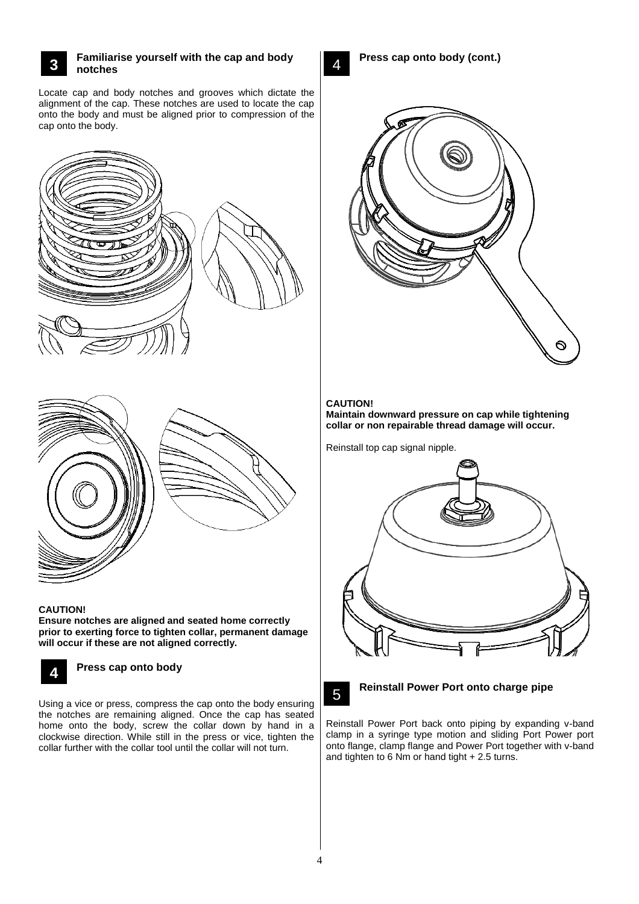#### **Familiarise yourself with the cap and body notches 3**

Locate cap and body notches and grooves which dictate the alignment of the cap. These notches are used to locate the cap onto the body and must be aligned prior to compression of the cap onto the body.





### **CAUTION!**

**Ensure notches are aligned and seated home correctly prior to exerting force to tighten collar, permanent damage will occur if these are not aligned correctly.**



# **Press cap onto body**

Using a vice or press, compress the cap onto the body ensuring the notches are remaining aligned. Once the cap has seated home onto the body, screw the collar down by hand in a clockwise direction. While still in the press or vice, tighten the collar further with the collar tool until the collar will not turn. **3**

4

**Press cap onto body (cont.)**



# **CAUTION!**

**Maintain downward pressure on cap while tightening collar or non repairable thread damage will occur.**

Reinstall top cap signal nipple.





# **Reinstall Power Port onto charge pipe**

Reinstall Power Port back onto piping by expanding v-band clamp in a syringe type motion and sliding Port Power port onto flange, clamp flange and Power Port together with v-band and tighten to 6 Nm or hand tight + 2.5 turns.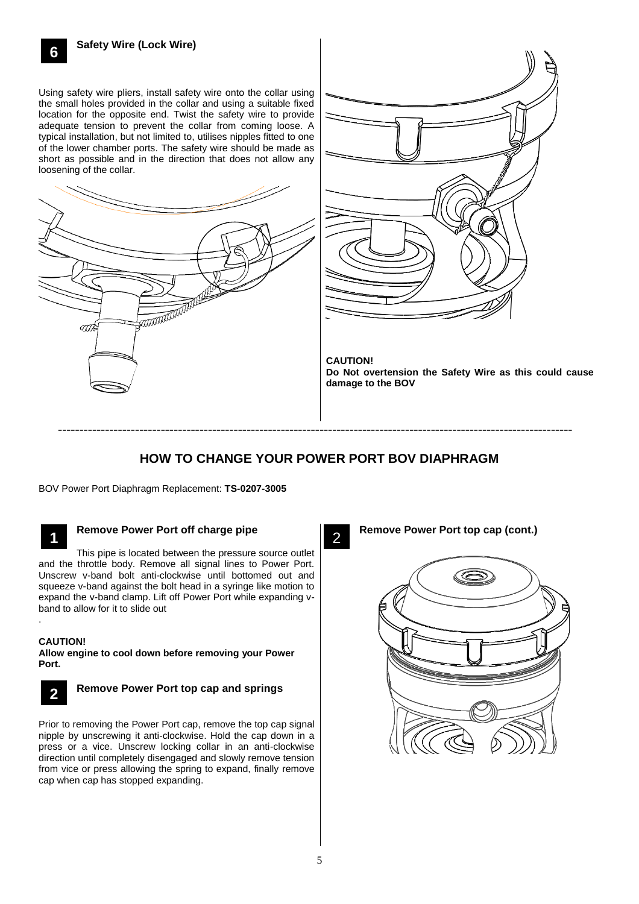Using safety wire pliers, install safety wire onto the collar using the small holes provided in the collar and using a suitable fixed location for the opposite end. Twist the safety wire to provide adequate tension to prevent the collar from coming loose. A typical installation, but not limited to, utilises nipples fitted to one of the lower chamber ports. The safety wire should be made as short as possible and in the direction that does not allow any loosening of the collar.





**CAUTION! Do Not overtension the Safety Wire as this could cause damage to the BOV**

# **HOW TO CHANGE YOUR POWER PORT BOV DIAPHRAGM**

2

------------------------------------------------------------------------------------------------------------------------

BOV Power Port Diaphragm Replacement: **TS-0207-3005**



.

# **Remove Power Port off charge pipe**

This pipe is located between the pressure source outlet and the throttle body. Remove all signal lines to Power Port. Unscrew v-band bolt anti-clockwise until bottomed out and squeeze v-band against the bolt head in a syringe like motion to expand the v-band clamp. Lift off Power Port while expanding vband to allow for it to slide out

**CAUTION!**

**Allow engine to cool down before removing your Power Port.**



# **Remove Power Port top cap and springs**

Prior to removing the Power Port cap, remove the top cap signal nipple by unscrewing it anti-clockwise. Hold the cap down in a press or a vice. Unscrew locking collar in an anti-clockwise direction until completely disengaged and slowly remove tension from vice or press allowing the spring to expand, finally remove cap when cap has stopped expanding. **3**

**Remove Power Port top cap (cont.)**

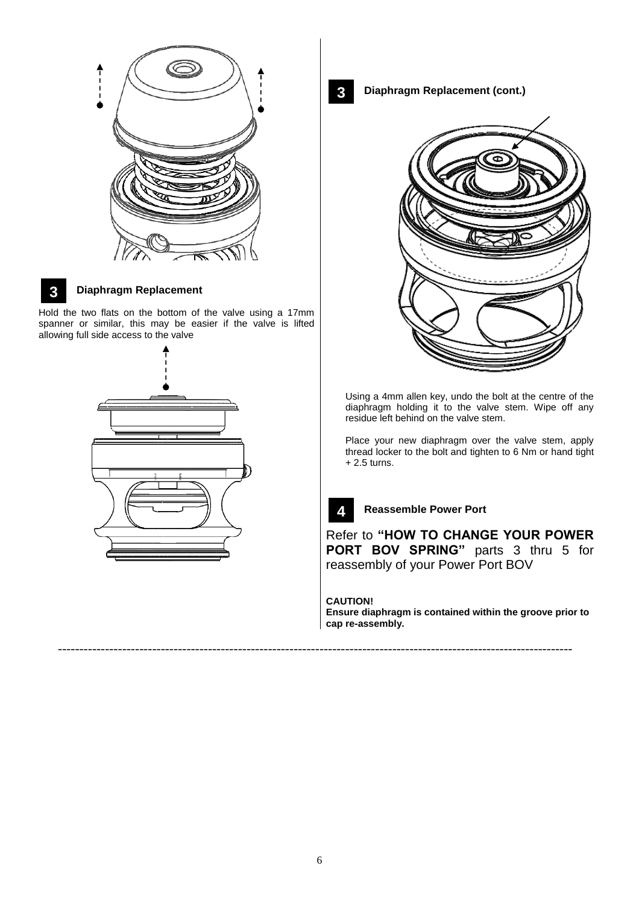

# **3**

# **Diaphragm Replacement**

Hold the two flats on the bottom of the valve using a 17mm **3** spanner or similar, this may be easier if the valve is lifted allowing full side access to the valve



**3**

**Diaphragm Replacement (cont.)**



Using a 4mm allen key, undo the bolt at the centre of the diaphragm holding it to the valve stem. Wipe off any residue left behind on the valve stem.

Place your new diaphragm over the valve stem, apply thread locker to the bolt and tighten to 6 Nm or hand tight + 2.5 turns.



**Reassemble Power Port**

Refer to **"HOW TO CHANGE YOUR POWER 3PORT BOV SPRING"** parts 3 thru 5 for reassembly of your Power Port BOV

**CAUTION!**

------------------------------------------------------------------------------------------------------------------------

**Ensure diaphragm is contained within the groove prior to cap re-assembly.**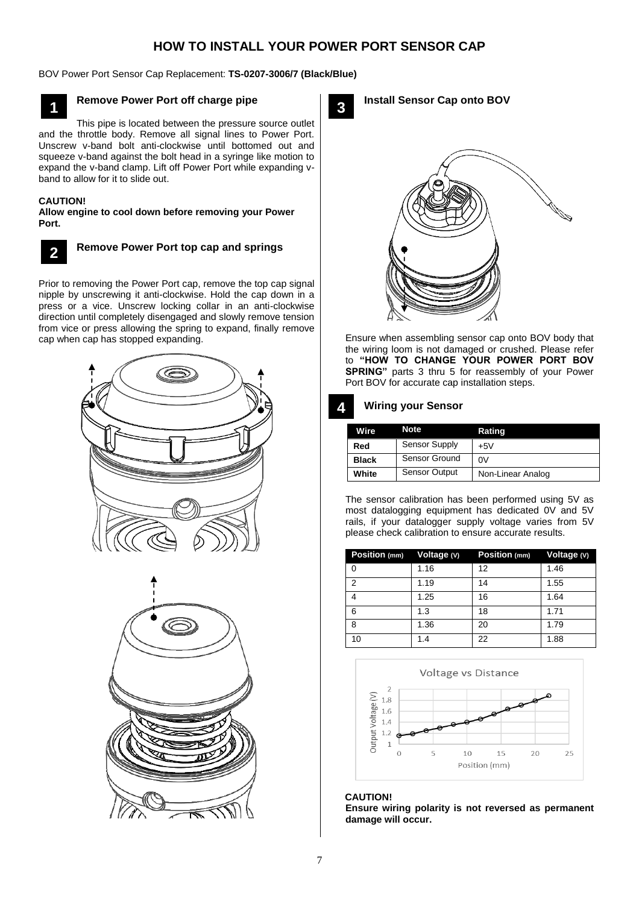# **HOW TO INSTALL YOUR POWER PORT SENSOR CAP**

BOV Power Port Sensor Cap Replacement: **TS-0207-3006/7 (Black/Blue)**



# **Remove Power Port off charge pipe**

This pipe is located between the pressure source outlet and the throttle body. Remove all signal lines to Power Port. Unscrew v-band bolt anti-clockwise until bottomed out and squeeze v-band against the bolt head in a syringe like motion to expand the v-band clamp. Lift off Power Port while expanding vband to allow for it to slide out.

### **CAUTION!**

**Allow engine to cool down before removing your Power Port.**



### **Remove Power Port top cap and springs**

Prior to removing the Power Port cap, remove the top cap signal nipple by unscrewing it anti-clockwise. Hold the cap down in a press or a vice. Unscrew locking collar in an anti-clockwise direction until completely disengaged and slowly remove tension from vice or press allowing the spring to expand, finally remove cap when cap has stopped expanding.





**3**

### **Install Sensor Cap onto BOV**



Ensure when assembling sensor cap onto BOV body that the wiring loom is not damaged or crushed. Please refer to **"HOW TO CHANGE YOUR POWER PORT BOV SPRING**" parts 3 thru 5 for reassembly of your Power Port BOV for accurate cap installation steps.

#### **Wiring your Sensor 4**

| <b>Wire</b>  | <b>Note</b>          | Rating            |
|--------------|----------------------|-------------------|
| Red          | Sensor Supply        | $+5V$             |
| <b>Black</b> | Sensor Ground        | 0V                |
| White        | <b>Sensor Output</b> | Non-Linear Analog |

The sensor calibration has been performed using 5V as most datalogging equipment has dedicated 0V and 5V rails, if your datalogger supply voltage varies from 5V please check calibration to ensure accurate results.

|                | Position (mm) Voltage (V) | Position (mm) Voltage (V) |      |
|----------------|---------------------------|---------------------------|------|
| 0              | 1.16                      | 12                        | 1.46 |
| $\mathfrak{p}$ | 1.19                      | 14                        | 1.55 |
|                | 1.25                      | 16                        | 1.64 |
| 6              | 1.3                       | 18                        | 1.71 |
| 8              | 1.36                      | 20                        | 1.79 |
| 10             | 1.4                       | 22                        | 1.88 |



### **CAUTION! Ensure wiring polarity is not reversed as permanent damage will occur.**